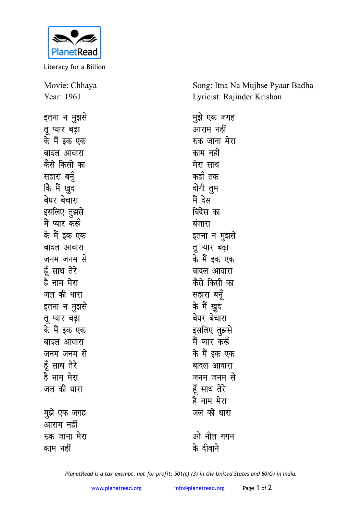

Literacy for a Billion

Movie: Chhaya Year: 1961

इतना न <u>म</u>ूझसे **तू** प्यार बढ़ा के मैं इक एक बादल आवारा **कैसे** किसी का **सहारा** बनँ **कि मैं खुद** बेघर बेचारा इसलिए तूझसे <u>मैं प्यार करूँ</u> के मैं इक एक बादल आवारा जनम जनम स<mark>े</mark> हूँ साथ तेरे है नाम मेरा जल की धारा इतना न मुझसे **तू** प्यार बढ़ा के मैं इक एक बादल आवारा जनम जनम स<mark>े</mark> हूँ साथ तेरे हे नाम मेरा जल की धारा **मुझे एक जगह** ्<br>आराम नहीं **स्त्र जाना मेरा** 

काम नहीं

Song: Itna Na Mujhse Pyaar Badha Lyricist: Rajinder Krishan

**मुझे एक जगह**  $\overline{\text{w}}$ राम नहीं **स्क जाना मेरा** काम नहीं मेरा साथ <u>कहाँ तक</u> <u>दोगी तु</u>म मैं देस बिदेस का बंजारा इतना न मुझसे **तू** प्यार बढ़ा के मैं इक एक बादल आवारा **कैसे** किसी का **सहारा** बन्रॅ के मैं खुद बेघर बेचारा इसलिए तुझसे मैं प्यार कर<mark>्</mark>रु के मैं इक एक बादल आवारा जनम जनम से हूँ साथ तेरे **हे** नाम मेरा जल की धारा <u>ओ नील गगन</u> **d¢ nhokus**

*PlanetRead is a tax-exempt, not-for-profit: 501(c) (3) in the United States and 80(G) in India.*